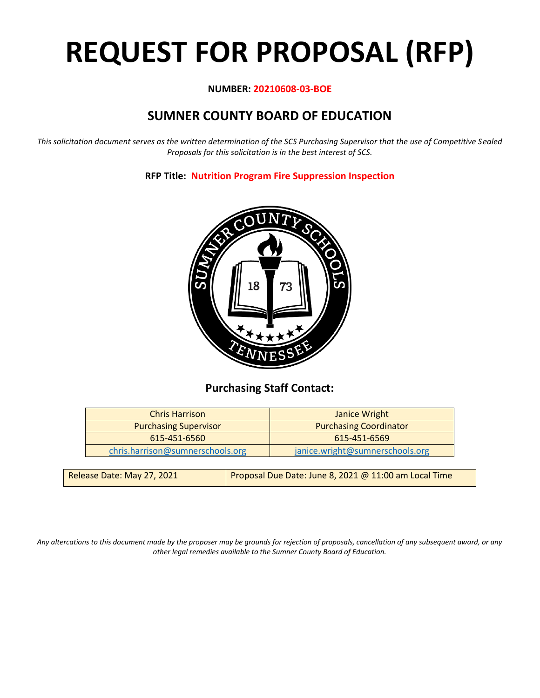# **REQUEST FOR PROPOSAL (RFP)**

# **NUMBER: 20210608-03-BOE**

# **SUMNER COUNTY BOARD OF EDUCATION**

*This solicitation document serves as the written determination of the SCS Purchasing Supervisor that the use of Competitive Sealed Proposals for this solicitation is in the best interest of SCS.*

**RFP Title: Nutrition Program Fire Suppression Inspection**



# **Purchasing Staff Contact:**

| <b>Chris Harrison</b>            | Janice Wright                   |  |
|----------------------------------|---------------------------------|--|
| <b>Purchasing Supervisor</b>     | <b>Purchasing Coordinator</b>   |  |
| 615-451-6560                     | 615-451-6569                    |  |
| chris.harrison@sumnerschools.org | janice.wright@sumnerschools.org |  |
|                                  |                                 |  |

*Any altercations to this document made by the proposer may be grounds for rejection of proposals, cancellation of any subsequent award, or any other legal remedies available to the Sumner County Board of Education.*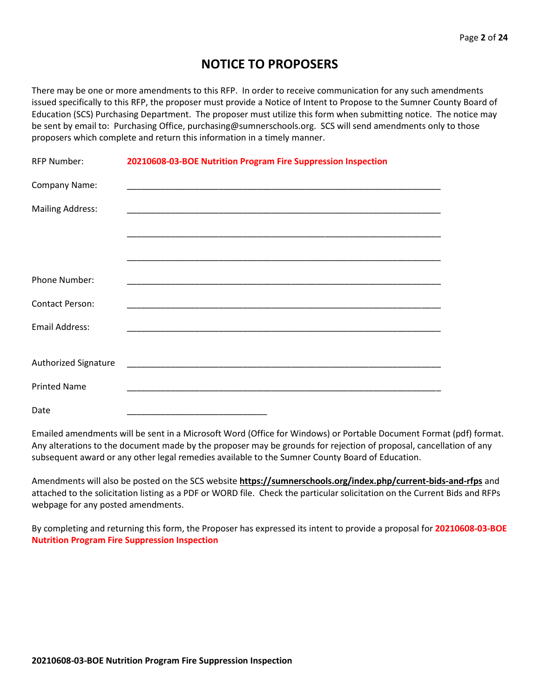# **NOTICE TO PROPOSERS**

There may be one or more amendments to this RFP. In order to receive communication for any such amendments issued specifically to this RFP, the proposer must provide a Notice of Intent to Propose to the Sumner County Board of Education (SCS) Purchasing Department. The proposer must utilize this form when submitting notice. The notice may be sent by email to: Purchasing Office, purchasing@sumnerschools.org. SCS will send amendments only to those proposers which complete and return this information in a timely manner.

| <b>RFP Number:</b>      | 20210608-03-BOE Nutrition Program Fire Suppression Inspection |
|-------------------------|---------------------------------------------------------------|
| Company Name:           |                                                               |
| <b>Mailing Address:</b> |                                                               |
|                         |                                                               |
|                         |                                                               |
| Phone Number:           |                                                               |
| <b>Contact Person:</b>  |                                                               |
| Email Address:          |                                                               |
|                         |                                                               |
| Authorized Signature    |                                                               |
| <b>Printed Name</b>     |                                                               |
| Date                    |                                                               |

Emailed amendments will be sent in a Microsoft Word (Office for Windows) or Portable Document Format (pdf) format. Any alterations to the document made by the proposer may be grounds for rejection of proposal, cancellation of any subsequent award or any other legal remedies available to the Sumner County Board of Education.

Amendments will also be posted on the SCS website **https://sumnerschools.org/index.php/current-bids-and-rfps** and attached to the solicitation listing as a PDF or WORD file. Check the particular solicitation on the Current Bids and RFPs webpage for any posted amendments.

By completing and returning this form, the Proposer has expressed its intent to provide a proposal for **20210608-03-BOE Nutrition Program Fire Suppression Inspection**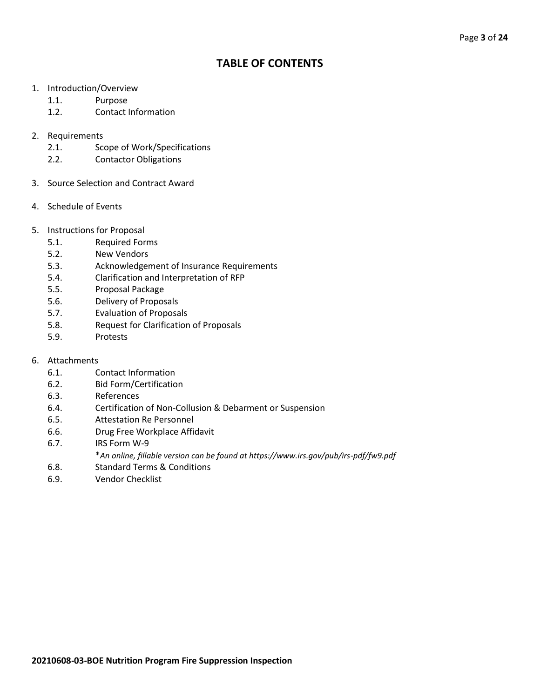# **TABLE OF CONTENTS**

- 1. Introduction/Overview
	- 1.1. Purpose
	- 1.2. Contact Information
- 2. Requirements
	- 2.1. Scope of Work/Specifications
	- 2.2. Contactor Obligations
- 3. Source Selection and Contract Award
- 4. Schedule of Events
- 5. Instructions for Proposal
	- 5.1. Required Forms
	- 5.2. New Vendors
	- 5.3. Acknowledgement of Insurance Requirements
	- 5.4. Clarification and Interpretation of RFP
	- 5.5. Proposal Package
	- 5.6. Delivery of Proposals
	- 5.7. Evaluation of Proposals
	- 5.8. Request for Clarification of Proposals
	- 5.9. Protests
- 6. Attachments
	- 6.1. Contact Information
	- 6.2. Bid Form/Certification
	- 6.3. References
	- 6.4. Certification of Non-Collusion & Debarment or Suspension
	- 6.5. Attestation Re Personnel
	- 6.6. Drug Free Workplace Affidavit
	- 6.7. IRS Form W-9
		- \**An online, fillable version can be found at https://www.irs.gov/pub/irs-pdf/fw9.pdf*
	- 6.8. Standard Terms & Conditions
	- 6.9. Vendor Checklist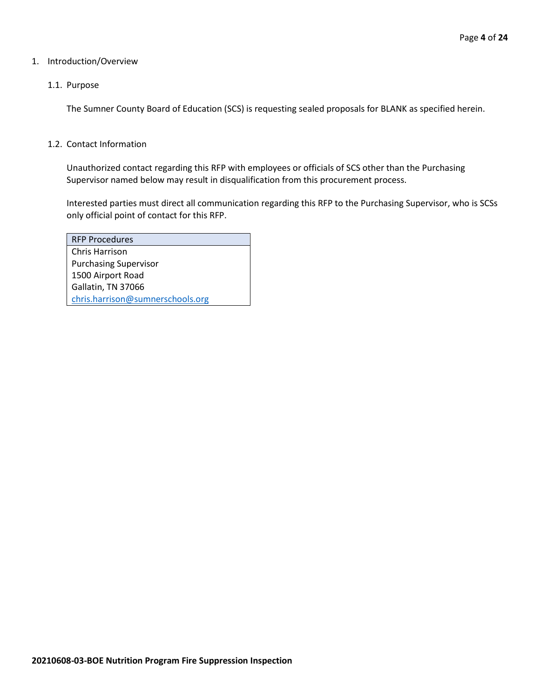#### 1. Introduction/Overview

### 1.1. Purpose

The Sumner County Board of Education (SCS) is requesting sealed proposals for BLANK as specified herein.

#### 1.2. Contact Information

Unauthorized contact regarding this RFP with employees or officials of SCS other than the Purchasing Supervisor named below may result in disqualification from this procurement process.

Interested parties must direct all communication regarding this RFP to the Purchasing Supervisor, who is SCSs only official point of contact for this RFP.

| <b>RFP Procedures</b>            |
|----------------------------------|
| Chris Harrison                   |
| <b>Purchasing Supervisor</b>     |
| 1500 Airport Road                |
| Gallatin, TN 37066               |
| chris.harrison@sumnerschools.org |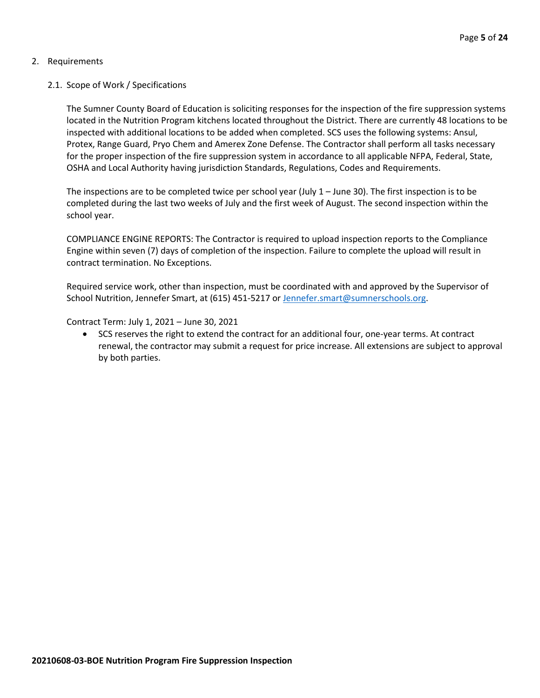# 2. Requirements

# 2.1. Scope of Work / Specifications

The Sumner County Board of Education is soliciting responses for the inspection of the fire suppression systems located in the Nutrition Program kitchens located throughout the District. There are currently 48 locations to be inspected with additional locations to be added when completed. SCS uses the following systems: Ansul, Protex, Range Guard, Pryo Chem and Amerex Zone Defense. The Contractor shall perform all tasks necessary for the proper inspection of the fire suppression system in accordance to all applicable NFPA, Federal, State, OSHA and Local Authority having jurisdiction Standards, Regulations, Codes and Requirements.

The inspections are to be completed twice per school year (July 1 – June 30). The first inspection is to be completed during the last two weeks of July and the first week of August. The second inspection within the school year.

COMPLIANCE ENGINE REPORTS: The Contractor is required to upload inspection reports to the Compliance Engine within seven (7) days of completion of the inspection. Failure to complete the upload will result in contract termination. No Exceptions.

Required service work, other than inspection, must be coordinated with and approved by the Supervisor of School Nutrition, Jennefer Smart, at (615) 451-5217 or [Jennefer.smart@sumnerschools.org.](mailto:Jennefer.smart@sumnerschools.org)

Contract Term: July 1, 2021 – June 30, 2021

• SCS reserves the right to extend the contract for an additional four, one-year terms. At contract renewal, the contractor may submit a request for price increase. All extensions are subject to approval by both parties.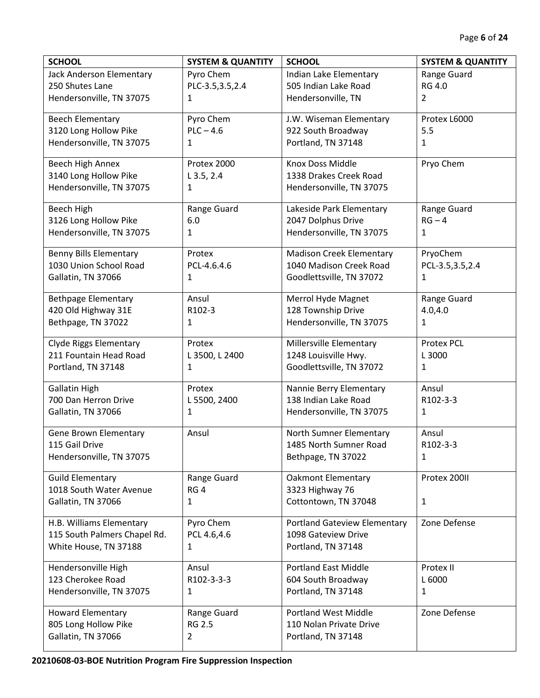| <b>SCHOOL</b>                 | <b>SYSTEM &amp; QUANTITY</b> | <b>SCHOOL</b>                       | <b>SYSTEM &amp; QUANTITY</b> |
|-------------------------------|------------------------------|-------------------------------------|------------------------------|
| Jack Anderson Elementary      | Pyro Chem                    | Indian Lake Elementary              | Range Guard                  |
| 250 Shutes Lane               | PLC-3.5,3.5,2.4              | 505 Indian Lake Road                | <b>RG 4.0</b>                |
| Hendersonville, TN 37075      | 1                            | Hendersonville, TN                  | $\overline{2}$               |
| <b>Beech Elementary</b>       | Pyro Chem                    | J.W. Wiseman Elementary             | Protex L6000                 |
| 3120 Long Hollow Pike         | $PLC - 4.6$                  | 922 South Broadway                  | 5.5                          |
| Hendersonville, TN 37075      | 1                            | Portland, TN 37148                  | $\mathbf{1}$                 |
| Beech High Annex              | Protex 2000                  | Knox Doss Middle                    | Pryo Chem                    |
| 3140 Long Hollow Pike         | $L$ 3.5, 2.4                 | 1338 Drakes Creek Road              |                              |
| Hendersonville, TN 37075      | 1                            | Hendersonville, TN 37075            |                              |
| <b>Beech High</b>             | Range Guard                  | Lakeside Park Elementary            | Range Guard                  |
| 3126 Long Hollow Pike         | 6.0                          | 2047 Dolphus Drive                  | $RG - 4$                     |
| Hendersonville, TN 37075      | 1                            | Hendersonville, TN 37075            | $\mathbf{1}$                 |
| <b>Benny Bills Elementary</b> | Protex                       | <b>Madison Creek Elementary</b>     | PryoChem                     |
| 1030 Union School Road        | PCL-4.6.4.6                  | 1040 Madison Creek Road             | PCL-3.5,3.5,2.4              |
| Gallatin, TN 37066            | 1                            | Goodlettsville, TN 37072            | $\mathbf{1}$                 |
| <b>Bethpage Elementary</b>    | Ansul                        | Merrol Hyde Magnet                  | Range Guard                  |
| 420 Old Highway 31E           | R102-3                       | 128 Township Drive                  | 4.0,4.0                      |
| Bethpage, TN 37022            | 1                            | Hendersonville, TN 37075            | 1                            |
| <b>Clyde Riggs Elementary</b> | Protex                       | Millersville Elementary             | <b>Protex PCL</b>            |
| 211 Fountain Head Road        | L 3500, L 2400               | 1248 Louisville Hwy.                | L 3000                       |
| Portland, TN 37148            | 1                            | Goodlettsville, TN 37072            | $\mathbf{1}$                 |
| <b>Gallatin High</b>          | Protex                       | Nannie Berry Elementary             | Ansul                        |
| 700 Dan Herron Drive          | L 5500, 2400                 | 138 Indian Lake Road                | R102-3-3                     |
| Gallatin, TN 37066            | 1                            | Hendersonville, TN 37075            | $\mathbf{1}$                 |
| Gene Brown Elementary         | Ansul                        | North Sumner Elementary             | Ansul                        |
| 115 Gail Drive                |                              | 1485 North Sumner Road              | R102-3-3                     |
| Hendersonville, TN 37075      |                              | Bethpage, TN 37022                  | 1                            |
| <b>Guild Elementary</b>       | Range Guard                  | <b>Oakmont Elementary</b>           | Protex 200II                 |
| 1018 South Water Avenue       | RG <sub>4</sub>              | 3323 Highway 76                     |                              |
| Gallatin, TN 37066            | 1                            | Cottontown, TN 37048                | 1                            |
| H.B. Williams Elementary      | Pyro Chem                    | <b>Portland Gateview Elementary</b> | Zone Defense                 |
| 115 South Palmers Chapel Rd.  | PCL 4.6,4.6                  | 1098 Gateview Drive                 |                              |
| White House, TN 37188         | $\mathbf{1}$                 | Portland, TN 37148                  |                              |
| Hendersonville High           | Ansul                        | <b>Portland East Middle</b>         | Protex II                    |
| 123 Cherokee Road             | R102-3-3-3                   | 604 South Broadway                  | L 6000                       |
| Hendersonville, TN 37075      | 1                            | Portland, TN 37148                  | 1                            |
| <b>Howard Elementary</b>      | Range Guard                  | <b>Portland West Middle</b>         | Zone Defense                 |
| 805 Long Hollow Pike          | <b>RG 2.5</b>                | 110 Nolan Private Drive             |                              |
| Gallatin, TN 37066            | $\overline{2}$               | Portland, TN 37148                  |                              |
|                               |                              |                                     |                              |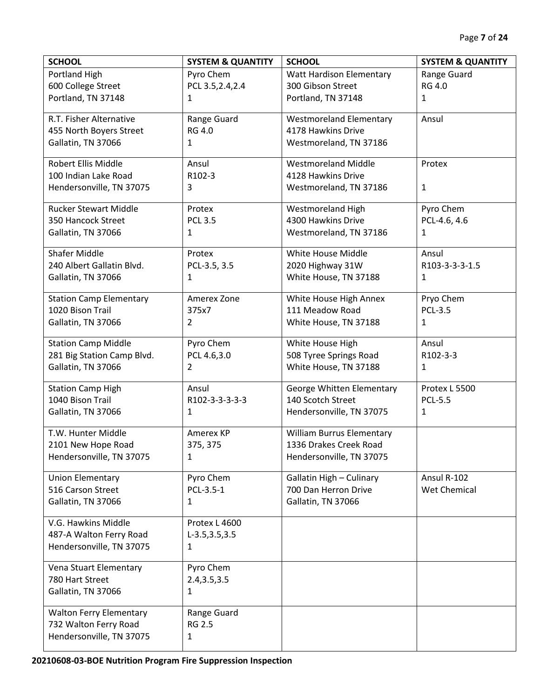| <b>SCHOOL</b>                  | <b>SYSTEM &amp; QUANTITY</b> | <b>SCHOOL</b>                    | <b>SYSTEM &amp; QUANTITY</b> |
|--------------------------------|------------------------------|----------------------------------|------------------------------|
| Portland High                  | Pyro Chem                    | <b>Watt Hardison Elementary</b>  | Range Guard                  |
| 600 College Street             | PCL 3.5, 2.4, 2.4            | 300 Gibson Street                | <b>RG 4.0</b>                |
| Portland, TN 37148             | 1                            | Portland, TN 37148               | 1                            |
| R.T. Fisher Alternative        | Range Guard                  | <b>Westmoreland Elementary</b>   | Ansul                        |
| 455 North Boyers Street        | <b>RG 4.0</b>                | 4178 Hawkins Drive               |                              |
| Gallatin, TN 37066             | 1                            | Westmoreland, TN 37186           |                              |
| Robert Ellis Middle            | Ansul                        | <b>Westmoreland Middle</b>       | Protex                       |
| 100 Indian Lake Road           | R102-3                       | 4128 Hawkins Drive               |                              |
| Hendersonville, TN 37075       | 3                            | Westmoreland, TN 37186           | 1                            |
| <b>Rucker Stewart Middle</b>   | Protex                       | <b>Westmoreland High</b>         | Pyro Chem                    |
| 350 Hancock Street             | <b>PCL 3.5</b>               | 4300 Hawkins Drive               | PCL-4.6, 4.6                 |
| Gallatin, TN 37066             | 1                            | Westmoreland, TN 37186           | 1                            |
| <b>Shafer Middle</b>           | Protex                       | White House Middle               | Ansul                        |
| 240 Albert Gallatin Blvd.      | PCL-3.5, 3.5                 | 2020 Highway 31W                 | R103-3-3-3-1.5               |
| Gallatin, TN 37066             | 1                            | White House, TN 37188            | 1                            |
| <b>Station Camp Elementary</b> | Amerex Zone                  | White House High Annex           | Pryo Chem                    |
| 1020 Bison Trail               | 375x7                        | 111 Meadow Road                  | <b>PCL-3.5</b>               |
| Gallatin, TN 37066             | 2                            | White House, TN 37188            | 1                            |
| <b>Station Camp Middle</b>     | Pyro Chem                    | White House High                 | Ansul                        |
| 281 Big Station Camp Blvd.     | PCL 4.6,3.0                  | 508 Tyree Springs Road           | R102-3-3                     |
| Gallatin, TN 37066             | 2                            | White House, TN 37188            | $\mathbf{1}$                 |
| <b>Station Camp High</b>       | Ansul                        | George Whitten Elementary        | Protex L 5500                |
| 1040 Bison Trail               | R102-3-3-3-3-3               | 140 Scotch Street                | <b>PCL-5.5</b>               |
| Gallatin, TN 37066             | 1                            | Hendersonville, TN 37075         | 1                            |
| T.W. Hunter Middle             | Amerex KP                    | <b>William Burrus Elementary</b> |                              |
| 2101 New Hope Road             | 375, 375                     | 1336 Drakes Creek Road           |                              |
| Hendersonville, TN 37075       | 1                            | Hendersonville, TN 37075         |                              |
| <b>Union Elementary</b>        | Pyro Chem                    | Gallatin High - Culinary         | Ansul R-102                  |
| 516 Carson Street              | PCL-3.5-1                    | 700 Dan Herron Drive             | Wet Chemical                 |
| Gallatin, TN 37066             | 1                            | Gallatin, TN 37066               |                              |
| V.G. Hawkins Middle            | Protex L 4600                |                                  |                              |
| 487-A Walton Ferry Road        | $L-3.5, 3.5, 3.5$            |                                  |                              |
| Hendersonville, TN 37075       | 1                            |                                  |                              |
| Vena Stuart Elementary         | Pyro Chem                    |                                  |                              |
| 780 Hart Street                | 2.4, 3.5, 3.5                |                                  |                              |
| Gallatin, TN 37066             | 1                            |                                  |                              |
| <b>Walton Ferry Elementary</b> | Range Guard                  |                                  |                              |
| 732 Walton Ferry Road          | <b>RG 2.5</b>                |                                  |                              |
| Hendersonville, TN 37075       | 1                            |                                  |                              |
|                                |                              |                                  |                              |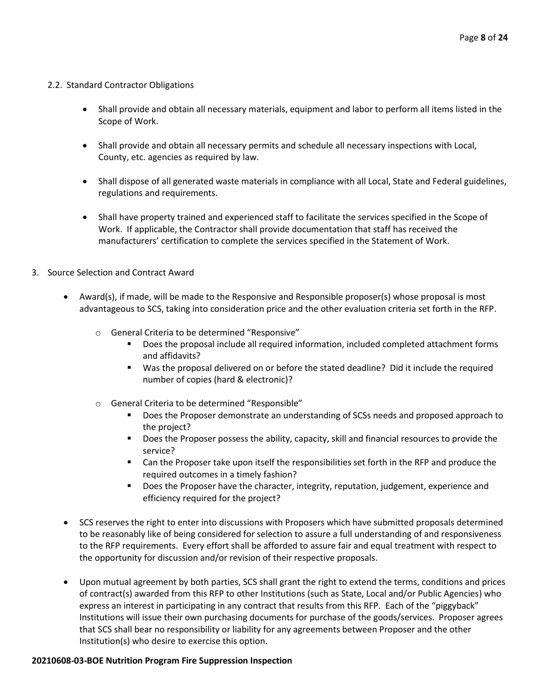# 2.2. Standard Contractor Obligations

- Shall provide and obtain all necessary materials, equipment and labor to perform all items listed in the Scope of Work.
- Shall provide and obtain all necessary permits and schedule all necessary inspections with Local, County, etc. agencies as required by law.
- Shall dispose of all generated waste materials in compliance with all Local, State and Federal guidelines, regulations and requirements.
- Shall have property trained and experienced staff to facilitate the services specified in the Scope of Work. If applicable, the Contractor shall provide documentation that staff has received the manufacturers' certification to complete the services specified in the Statement of Work.

# 3. Source Selection and Contract Award

- Award(s), if made, will be made to the Responsive and Responsible proposer(s) whose proposal is most advantageous to SCS, taking into consideration price and the other evaluation criteria set forth in the RFP.
	- o General Criteria to be determined "Responsive"
		- Does the proposal include all required information, included completed attachment forms and affidavits?
		- Was the proposal delivered on or before the stated deadline? Did it include the required number of copies (hard & electronic)?
	- o General Criteria to be determined "Responsible"
		- Does the Proposer demonstrate an understanding of SCSs needs and proposed approach to the project?
		- Does the Proposer possess the ability, capacity, skill and financial resources to provide the service?
		- Can the Proposer take upon itself the responsibilities set forth in the RFP and produce the required outcomes in a timely fashion?
		- Does the Proposer have the character, integrity, reputation, judgement, experience and efficiency required for the project?
- SCS reserves the right to enter into discussions with Proposers which have submitted proposals determined to be reasonably like of being considered for selection to assure a full understanding of and responsiveness to the RFP requirements. Every effort shall be afforded to assure fair and equal treatment with respect to the opportunity for discussion and/or revision of their respective proposals.
- Upon mutual agreement by both parties, SCS shall grant the right to extend the terms, conditions and prices of contract(s) awarded from this RFP to other Institutions (such as State, Local and/or Public Agencies) who express an interest in participating in any contract that results from this RFP. Each of the "piggyback" Institutions will issue their own purchasing documents for purchase of the goods/services. Proposer agrees that SCS shall bear no responsibility or liability for any agreements between Proposer and the other Institution(s) who desire to exercise this option.

#### **20210608-03-BOE Nutrition Program Fire Suppression Inspection**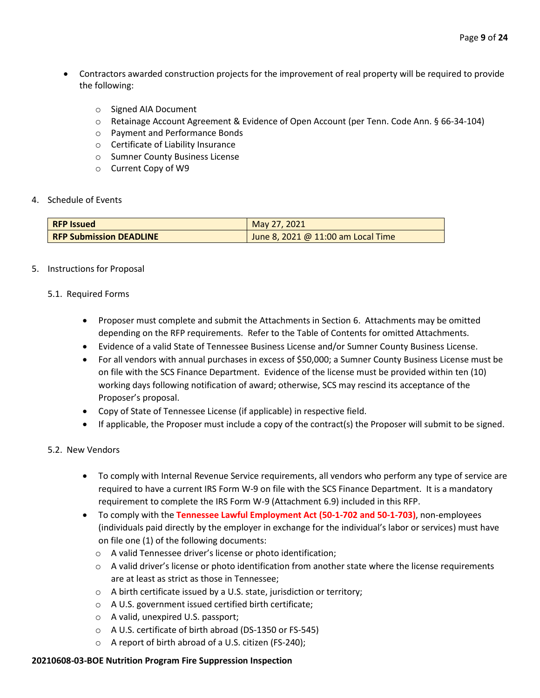- Contractors awarded construction projects for the improvement of real property will be required to provide the following:
	- o Signed AIA Document
	- o Retainage Account Agreement & Evidence of Open Account (per Tenn. Code Ann. § 66-34-104)
	- o Payment and Performance Bonds
	- o Certificate of Liability Insurance
	- o Sumner County Business License
	- o Current Copy of W9
- 4. Schedule of Events

| <b>RFP Issued</b>              | May 27, 2021                         |
|--------------------------------|--------------------------------------|
| <b>RFP Submission DEADLINE</b> | June 8, 2021 @ $11:00$ am Local Time |

5. Instructions for Proposal

### 5.1. Required Forms

- Proposer must complete and submit the Attachments in Section 6. Attachments may be omitted depending on the RFP requirements. Refer to the Table of Contents for omitted Attachments.
- Evidence of a valid State of Tennessee Business License and/or Sumner County Business License.
- For all vendors with annual purchases in excess of \$50,000; a Sumner County Business License must be on file with the SCS Finance Department. Evidence of the license must be provided within ten (10) working days following notification of award; otherwise, SCS may rescind its acceptance of the Proposer's proposal.
- Copy of State of Tennessee License (if applicable) in respective field.
- If applicable, the Proposer must include a copy of the contract(s) the Proposer will submit to be signed.

# 5.2. New Vendors

- To comply with Internal Revenue Service requirements, all vendors who perform any type of service are required to have a current IRS Form W-9 on file with the SCS Finance Department. It is a mandatory requirement to complete the IRS Form W-9 (Attachment 6.9) included in this RFP.
- To comply with the **Tennessee Lawful Employment Act (50-1-702 and 50-1-703)**, non-employees (individuals paid directly by the employer in exchange for the individual's labor or services) must have on file one (1) of the following documents:
	- o A valid Tennessee driver's license or photo identification;
	- $\circ$  A valid driver's license or photo identification from another state where the license requirements are at least as strict as those in Tennessee;
	- o A birth certificate issued by a U.S. state, jurisdiction or territory;
	- o A U.S. government issued certified birth certificate;
	- o A valid, unexpired U.S. passport;
	- o A U.S. certificate of birth abroad (DS-1350 or FS-545)
	- o A report of birth abroad of a U.S. citizen (FS-240);

#### **20210608-03-BOE Nutrition Program Fire Suppression Inspection**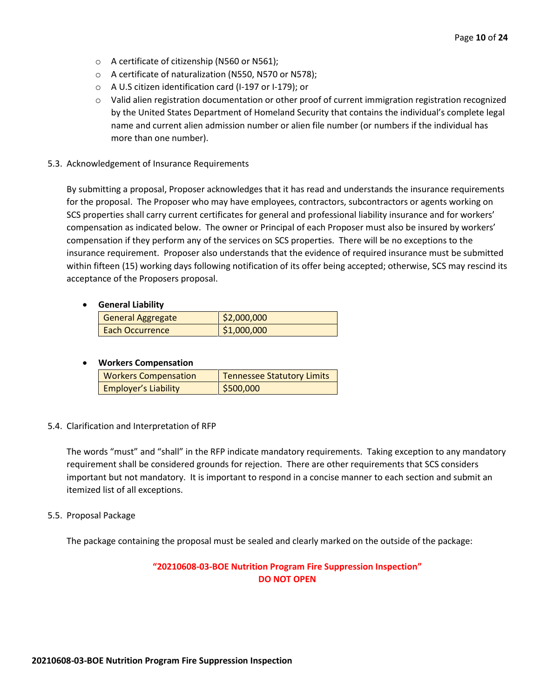- o A certificate of citizenship (N560 or N561);
- o A certificate of naturalization (N550, N570 or N578);
- o A U.S citizen identification card (I-197 or I-179); or
- $\circ$  Valid alien registration documentation or other proof of current immigration registration recognized by the United States Department of Homeland Security that contains the individual's complete legal name and current alien admission number or alien file number (or numbers if the individual has more than one number).
- 5.3. Acknowledgement of Insurance Requirements

By submitting a proposal, Proposer acknowledges that it has read and understands the insurance requirements for the proposal. The Proposer who may have employees, contractors, subcontractors or agents working on SCS properties shall carry current certificates for general and professional liability insurance and for workers' compensation as indicated below. The owner or Principal of each Proposer must also be insured by workers' compensation if they perform any of the services on SCS properties. There will be no exceptions to the insurance requirement. Proposer also understands that the evidence of required insurance must be submitted within fifteen (15) working days following notification of its offer being accepted; otherwise, SCS may rescind its acceptance of the Proposers proposal.

# • **General Liability**

|  | <b>General Aggregate</b> | \$2,000,000 |
|--|--------------------------|-------------|
|  | Each Occurrence          | \$1,000,000 |

# • **Workers Compensation**

| <b>Workers Compensation</b> | <b>Tennessee Statutory Limits</b> |
|-----------------------------|-----------------------------------|
| <b>Employer's Liability</b> | \$500,000                         |

#### 5.4. Clarification and Interpretation of RFP

The words "must" and "shall" in the RFP indicate mandatory requirements. Taking exception to any mandatory requirement shall be considered grounds for rejection. There are other requirements that SCS considers important but not mandatory. It is important to respond in a concise manner to each section and submit an itemized list of all exceptions.

#### 5.5. Proposal Package

The package containing the proposal must be sealed and clearly marked on the outside of the package:

# **"20210608-03-BOE Nutrition Program Fire Suppression Inspection" DO NOT OPEN**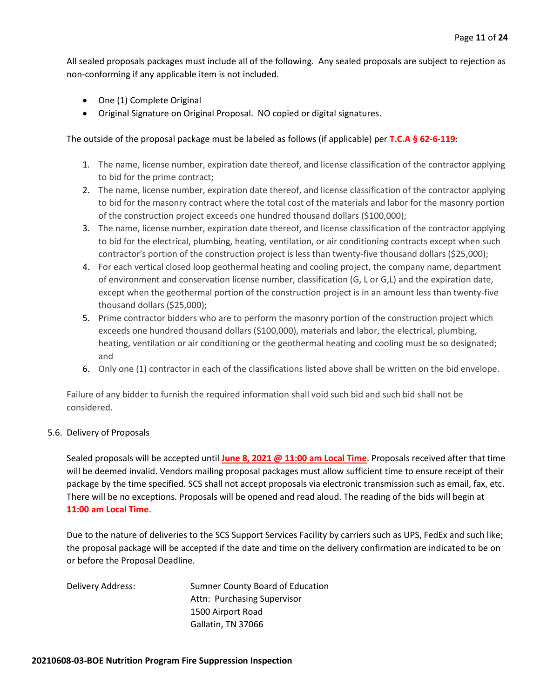All sealed proposals packages must include all of the following. Any sealed proposals are subject to rejection as non-conforming if any applicable item is not included.

- One (1) Complete Original
- Original Signature on Original Proposal. NO copied or digital signatures.

The outside of the proposal package must be labeled as follows (if applicable) per **T.C.A § 62-6-119**:

- 1. The name, license number, expiration date thereof, and license classification of the contractor applying to bid for the prime contract;
- 2. The name, license number, expiration date thereof, and license classification of the contractor applying to bid for the masonry contract where the total cost of the materials and labor for the masonry portion of the construction project exceeds one hundred thousand dollars (\$100,000);
- 3. The name, license number, expiration date thereof, and license classification of the contractor applying to bid for the electrical, plumbing, heating, ventilation, or air conditioning contracts except when such contractor's portion of the construction project is less than twenty-five thousand dollars (\$25,000);
- 4. For each vertical closed loop geothermal heating and cooling project, the company name, department of environment and conservation license number, classification (G, L or G,L) and the expiration date, except when the geothermal portion of the construction project is in an amount less than twenty-five thousand dollars (\$25,000);
- 5. Prime contractor bidders who are to perform the masonry portion of the construction project which exceeds one hundred thousand dollars (\$100,000), materials and labor, the electrical, plumbing, heating, ventilation or air conditioning or the geothermal heating and cooling must be so designated; and
- 6. Only one (1) contractor in each of the classifications listed above shall be written on the bid envelope.

Failure of any bidder to furnish the required information shall void such bid and such bid shall not be considered.

# 5.6. Delivery of Proposals

Sealed proposals will be accepted until **June 8, 2021 @ 11:00 am Local Time**. Proposals received after that time will be deemed invalid. Vendors mailing proposal packages must allow sufficient time to ensure receipt of their package by the time specified. SCS shall not accept proposals via electronic transmission such as email, fax, etc. There will be no exceptions. Proposals will be opened and read aloud. The reading of the bids will begin at **11:00 am Local Time**.

Due to the nature of deliveries to the SCS Support Services Facility by carriers such as UPS, FedEx and such like; the proposal package will be accepted if the date and time on the delivery confirmation are indicated to be on or before the Proposal Deadline.

| Delivery Address: | Sumner County Board of Education |  |
|-------------------|----------------------------------|--|
|                   | Attn: Purchasing Supervisor      |  |
|                   | 1500 Airport Road                |  |
|                   | Gallatin, TN 37066               |  |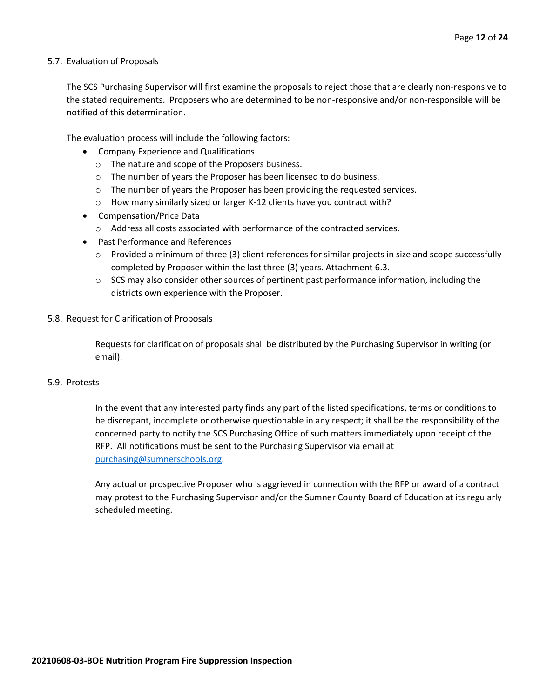## 5.7. Evaluation of Proposals

The SCS Purchasing Supervisor will first examine the proposals to reject those that are clearly non-responsive to the stated requirements. Proposers who are determined to be non-responsive and/or non-responsible will be notified of this determination.

The evaluation process will include the following factors:

- Company Experience and Qualifications
	- o The nature and scope of the Proposers business.
	- $\circ$  The number of years the Proposer has been licensed to do business.
	- $\circ$  The number of years the Proposer has been providing the requested services.
	- o How many similarly sized or larger K-12 clients have you contract with?
- Compensation/Price Data
	- o Address all costs associated with performance of the contracted services.
- Past Performance and References
	- $\circ$  Provided a minimum of three (3) client references for similar projects in size and scope successfully completed by Proposer within the last three (3) years. Attachment 6.3.
	- $\circ$  SCS may also consider other sources of pertinent past performance information, including the districts own experience with the Proposer.
- 5.8. Request for Clarification of Proposals

Requests for clarification of proposals shall be distributed by the Purchasing Supervisor in writing (or email).

## 5.9. Protests

In the event that any interested party finds any part of the listed specifications, terms or conditions to be discrepant, incomplete or otherwise questionable in any respect; it shall be the responsibility of the concerned party to notify the SCS Purchasing Office of such matters immediately upon receipt of the RFP. All notifications must be sent to the Purchasing Supervisor via email at [purchasing@sumnerschools.org.](mailto:purchasing@sumnerschools.org)

Any actual or prospective Proposer who is aggrieved in connection with the RFP or award of a contract may protest to the Purchasing Supervisor and/or the Sumner County Board of Education at its regularly scheduled meeting.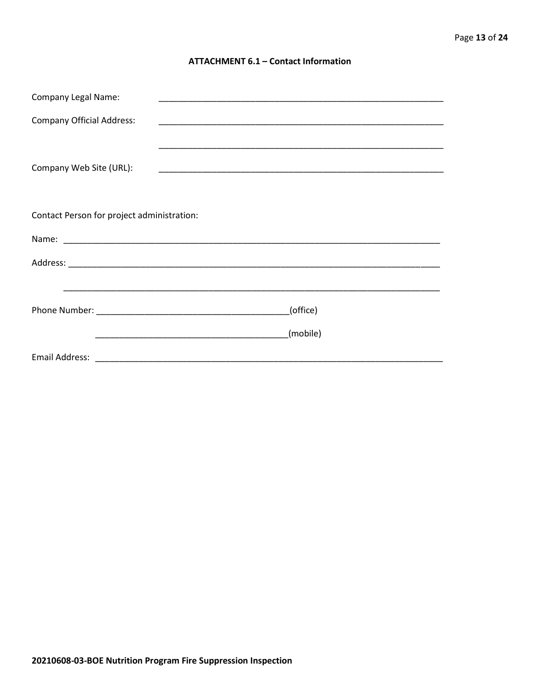## **ATTACHMENT 6.1 - Contact Information**

| <b>Company Legal Name:</b>                 |          |  |  |  |
|--------------------------------------------|----------|--|--|--|
| <b>Company Official Address:</b>           |          |  |  |  |
|                                            |          |  |  |  |
| Company Web Site (URL):                    |          |  |  |  |
|                                            |          |  |  |  |
|                                            |          |  |  |  |
| Contact Person for project administration: |          |  |  |  |
|                                            |          |  |  |  |
|                                            |          |  |  |  |
|                                            |          |  |  |  |
|                                            | (office) |  |  |  |
|                                            | (mobile) |  |  |  |
|                                            |          |  |  |  |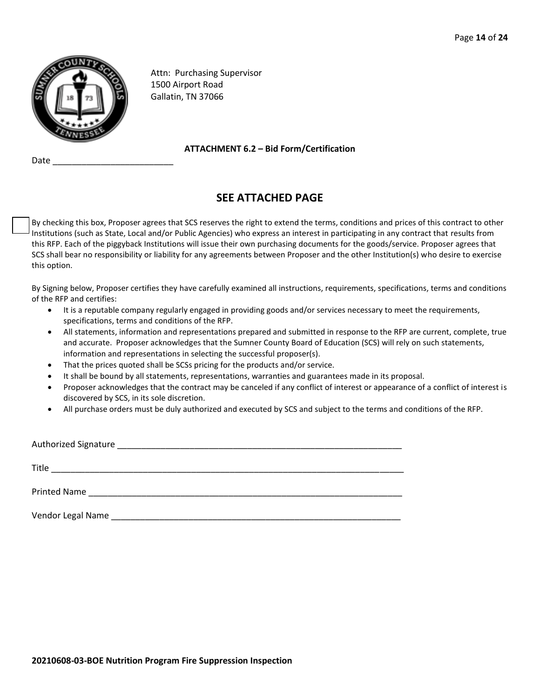

Date

Attn: Purchasing Supervisor 1500 Airport Road Gallatin, TN 37066

**ATTACHMENT 6.2 – Bid Form/Certification**

# **SEE ATTACHED PAGE**

By checking this box, Proposer agrees that SCS reserves the right to extend the terms, conditions and prices of this contract to other Institutions (such as State, Local and/or Public Agencies) who express an interest in participating in any contract that results from this RFP. Each of the piggyback Institutions will issue their own purchasing documents for the goods/service. Proposer agrees that SCS shall bear no responsibility or liability for any agreements between Proposer and the other Institution(s) who desire to exercise this option.

By Signing below, Proposer certifies they have carefully examined all instructions, requirements, specifications, terms and conditions of the RFP and certifies:

- It is a reputable company regularly engaged in providing goods and/or services necessary to meet the requirements, specifications, terms and conditions of the RFP.
- All statements, information and representations prepared and submitted in response to the RFP are current, complete, true and accurate. Proposer acknowledges that the Sumner County Board of Education (SCS) will rely on such statements, information and representations in selecting the successful proposer(s).
- That the prices quoted shall be SCSs pricing for the products and/or service.
- It shall be bound by all statements, representations, warranties and guarantees made in its proposal.
- Proposer acknowledges that the contract may be canceled if any conflict of interest or appearance of a conflict of interest is discovered by SCS, in its sole discretion.
- All purchase orders must be duly authorized and executed by SCS and subject to the terms and conditions of the RFP.

| Title             |  |  |
|-------------------|--|--|
|                   |  |  |
| Vendor Legal Name |  |  |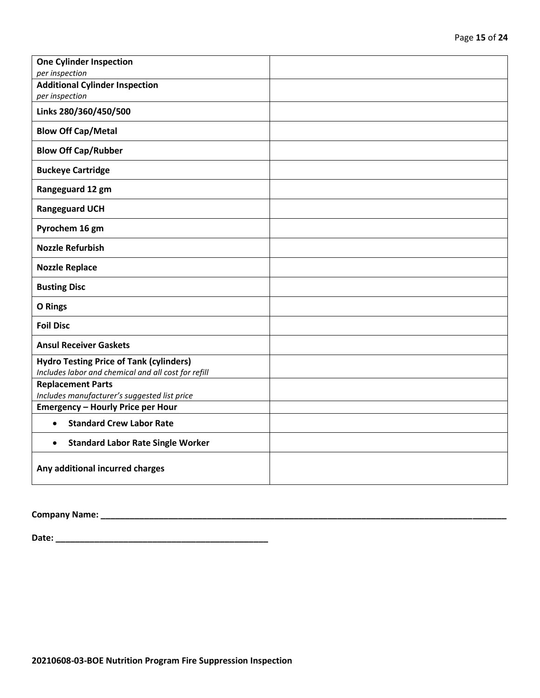| <b>One Cylinder Inspection</b><br>per inspection                                                      |  |
|-------------------------------------------------------------------------------------------------------|--|
| <b>Additional Cylinder Inspection</b>                                                                 |  |
| per inspection                                                                                        |  |
| Links 280/360/450/500                                                                                 |  |
| <b>Blow Off Cap/Metal</b>                                                                             |  |
| <b>Blow Off Cap/Rubber</b>                                                                            |  |
| <b>Buckeye Cartridge</b>                                                                              |  |
| Rangeguard 12 gm                                                                                      |  |
| <b>Rangeguard UCH</b>                                                                                 |  |
| Pyrochem 16 gm                                                                                        |  |
| <b>Nozzle Refurbish</b>                                                                               |  |
| <b>Nozzle Replace</b>                                                                                 |  |
| <b>Busting Disc</b>                                                                                   |  |
| <b>O</b> Rings                                                                                        |  |
| <b>Foil Disc</b>                                                                                      |  |
| <b>Ansul Receiver Gaskets</b>                                                                         |  |
| <b>Hydro Testing Price of Tank (cylinders)</b><br>Includes labor and chemical and all cost for refill |  |
| <b>Replacement Parts</b>                                                                              |  |
| Includes manufacturer's suggested list price                                                          |  |
| <b>Emergency - Hourly Price per Hour</b>                                                              |  |
| <b>Standard Crew Labor Rate</b><br>$\bullet$                                                          |  |
| <b>Standard Labor Rate Single Worker</b><br>$\bullet$                                                 |  |
| Any additional incurred charges                                                                       |  |

**Company Name: \_\_\_\_\_\_\_\_\_\_\_\_\_\_\_\_\_\_\_\_\_\_\_\_\_\_\_\_\_\_\_\_\_\_\_\_\_\_\_\_\_\_\_\_\_\_\_\_\_\_\_\_\_\_\_\_\_\_\_\_\_\_\_\_\_\_\_\_\_\_\_\_\_\_\_\_\_\_\_\_\_\_\_\_**

**Date: \_\_\_\_\_\_\_\_\_\_\_\_\_\_\_\_\_\_\_\_\_\_\_\_\_\_\_\_\_\_\_\_\_\_\_\_\_\_\_\_\_\_\_\_**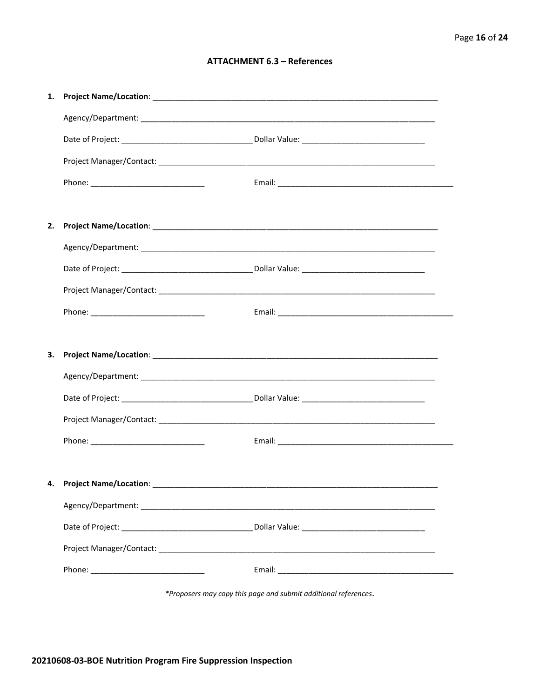# **ATTACHMENT 6.3 - References**

| 1. |                                    |  |
|----|------------------------------------|--|
|    |                                    |  |
|    |                                    |  |
|    |                                    |  |
|    |                                    |  |
|    |                                    |  |
| 2. |                                    |  |
|    |                                    |  |
|    |                                    |  |
|    |                                    |  |
|    |                                    |  |
|    |                                    |  |
| 3. |                                    |  |
|    |                                    |  |
|    |                                    |  |
|    |                                    |  |
|    |                                    |  |
|    |                                    |  |
|    | 4. Project Name/Location: ________ |  |
|    |                                    |  |
|    |                                    |  |
|    |                                    |  |
|    |                                    |  |
|    |                                    |  |

\*Proposers may copy this page and submit additional references.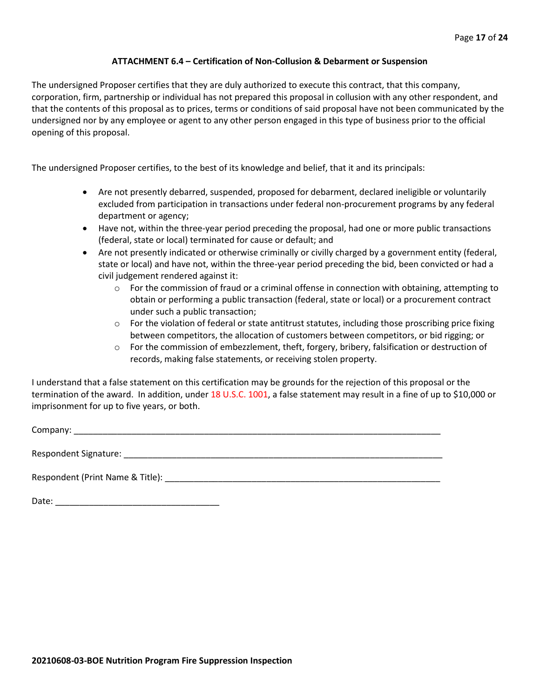## **ATTACHMENT 6.4 – Certification of Non-Collusion & Debarment or Suspension**

The undersigned Proposer certifies that they are duly authorized to execute this contract, that this company, corporation, firm, partnership or individual has not prepared this proposal in collusion with any other respondent, and that the contents of this proposal as to prices, terms or conditions of said proposal have not been communicated by the undersigned nor by any employee or agent to any other person engaged in this type of business prior to the official opening of this proposal.

The undersigned Proposer certifies, to the best of its knowledge and belief, that it and its principals:

- Are not presently debarred, suspended, proposed for debarment, declared ineligible or voluntarily excluded from participation in transactions under federal non-procurement programs by any federal department or agency;
- Have not, within the three-year period preceding the proposal, had one or more public transactions (federal, state or local) terminated for cause or default; and
- Are not presently indicated or otherwise criminally or civilly charged by a government entity (federal, state or local) and have not, within the three-year period preceding the bid, been convicted or had a civil judgement rendered against it:
	- $\circ$  For the commission of fraud or a criminal offense in connection with obtaining, attempting to obtain or performing a public transaction (federal, state or local) or a procurement contract under such a public transaction;
	- $\circ$  For the violation of federal or state antitrust statutes, including those proscribing price fixing between competitors, the allocation of customers between competitors, or bid rigging; or
	- o For the commission of embezzlement, theft, forgery, bribery, falsification or destruction of records, making false statements, or receiving stolen property.

I understand that a false statement on this certification may be grounds for the rejection of this proposal or the termination of the award. In addition, under 18 U.S.C. 1001, a false statement may result in a fine of up to \$10,000 or imprisonment for up to five years, or both.

Company: \_\_\_\_\_\_\_\_\_\_\_\_\_\_\_\_\_\_\_\_\_\_\_\_\_\_\_\_\_\_\_\_\_\_\_\_\_\_\_\_\_\_\_\_\_\_\_\_\_\_\_\_\_\_\_\_\_\_\_\_\_\_\_\_\_\_\_\_\_\_\_\_\_\_\_\_

Respondent Signature: \_\_\_\_\_\_\_\_\_\_\_\_\_\_\_\_\_\_\_\_\_\_\_\_\_\_\_\_\_\_\_\_\_\_\_\_\_\_\_\_\_\_\_\_\_\_\_\_\_\_\_\_\_\_\_\_\_\_\_\_\_\_\_\_\_\_

Respondent (Print Name & Title): \_\_\_\_\_\_\_\_\_\_\_\_\_\_\_\_\_\_\_\_\_\_\_\_\_\_\_\_\_\_\_\_\_\_\_\_\_\_\_\_\_\_\_\_\_\_\_\_\_\_\_\_\_\_\_\_\_

Date: \_\_\_\_\_\_\_\_\_\_\_\_\_\_\_\_\_\_\_\_\_\_\_\_\_\_\_\_\_\_\_\_\_\_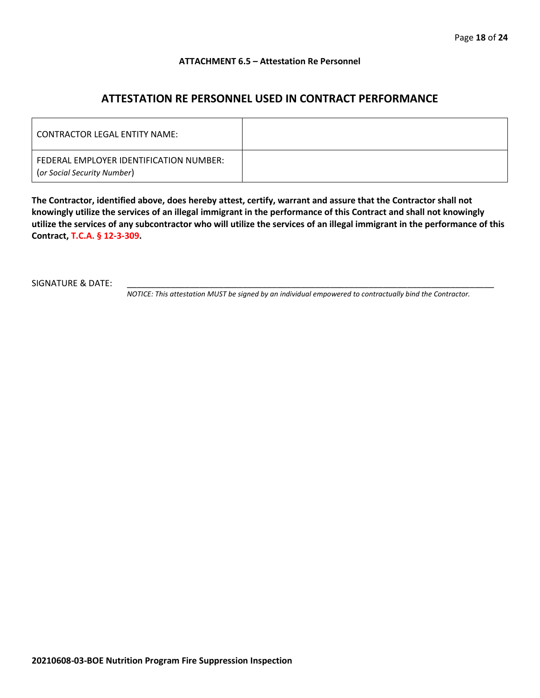### **ATTACHMENT 6.5 – Attestation Re Personnel**

# **ATTESTATION RE PERSONNEL USED IN CONTRACT PERFORMANCE**

| CONTRACTOR LEGAL ENTITY NAME:                                          |  |
|------------------------------------------------------------------------|--|
| FEDERAL EMPLOYER IDENTIFICATION NUMBER:<br>(or Social Security Number) |  |

**The Contractor, identified above, does hereby attest, certify, warrant and assure that the Contractor shall not knowingly utilize the services of an illegal immigrant in the performance of this Contract and shall not knowingly utilize the services of any subcontractor who will utilize the services of an illegal immigrant in the performance of this Contract, T.C.A. § 12-3-309.**

SIGNATURE & DATE:

*NOTICE: This attestation MUST be signed by an individual empowered to contractually bind the Contractor.*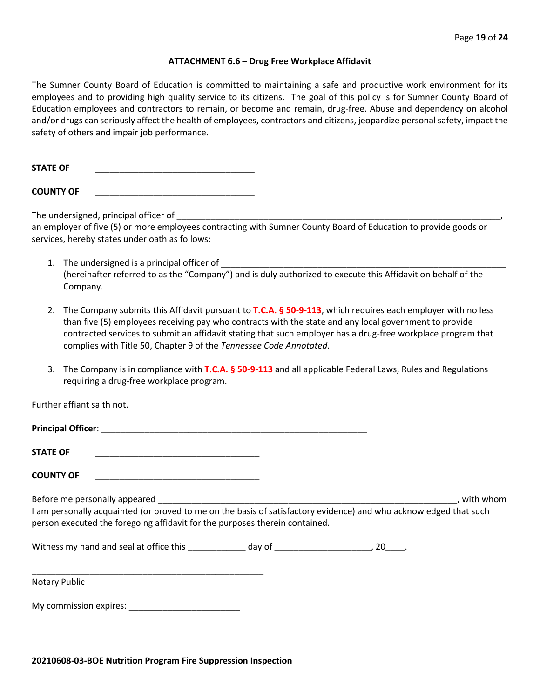#### **ATTACHMENT 6.6 – Drug Free Workplace Affidavit**

The Sumner County Board of Education is committed to maintaining a safe and productive work environment for its employees and to providing high quality service to its citizens. The goal of this policy is for Sumner County Board of Education employees and contractors to remain, or become and remain, drug-free. Abuse and dependency on alcohol and/or drugs can seriously affect the health of employees, contractors and citizens, jeopardize personal safety, impact the safety of others and impair job performance.

STATE OF

**COUNTY OF** \_\_\_\_\_\_\_\_\_\_\_\_\_\_\_\_\_\_\_\_\_\_\_\_\_\_\_\_\_\_\_\_\_

The undersigned, principal officer of

an employer of five (5) or more employees contracting with Sumner County Board of Education to provide goods or services, hereby states under oath as follows:

- 1. The undersigned is a principal officer of (hereinafter referred to as the "Company") and is duly authorized to execute this Affidavit on behalf of the Company.
- 2. The Company submits this Affidavit pursuant to **T.C.A. § 50-9-113**, which requires each employer with no less than five (5) employees receiving pay who contracts with the state and any local government to provide contracted services to submit an affidavit stating that such employer has a drug-free workplace program that complies with Title 50, Chapter 9 of the *Tennessee Code Annotated*.
- 3. The Company is in compliance with **T.C.A. § 50-9-113** and all applicable Federal Laws, Rules and Regulations requiring a drug-free workplace program.

Further affiant saith not.

| <b>Principal Officer:</b>                                                                                        |           |
|------------------------------------------------------------------------------------------------------------------|-----------|
| <b>STATE OF</b>                                                                                                  |           |
| <b>COUNTY OF</b>                                                                                                 |           |
| Before me personally appeared                                                                                    | with whom |
| Lam personally acquainted (or proved to me on the basis of satisfactory evidence) and who acknowledged that such |           |

idence) and who acknowledged that such person executed the foregoing affidavit for the purposes therein contained.

Witness my hand and seal at office this \_\_\_\_\_\_\_\_\_\_\_\_\_ day of \_\_\_\_\_\_\_\_\_\_\_\_\_\_\_\_\_\_\_\_\_, 20\_\_\_\_.

\_\_\_\_\_\_\_\_\_\_\_\_\_\_\_\_\_\_\_\_\_\_\_\_\_\_\_\_\_\_\_\_\_\_\_\_\_\_\_\_\_\_\_\_\_\_\_\_ Notary Public

My commission expires: \_\_\_\_\_\_\_\_\_\_\_\_\_\_\_\_\_\_\_\_\_\_\_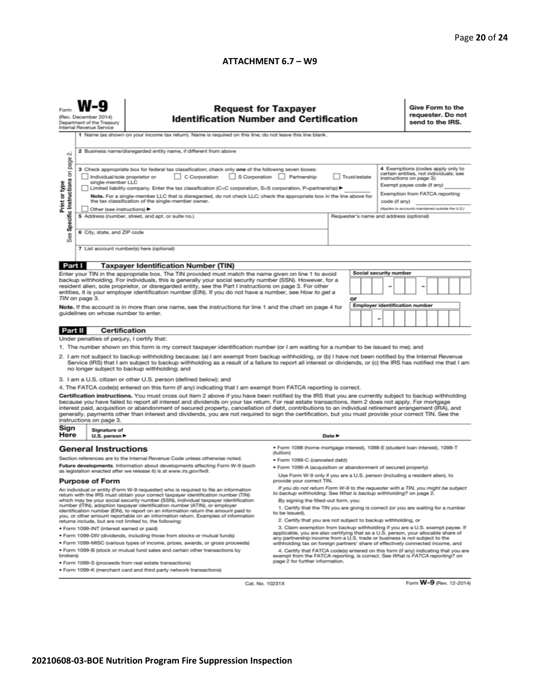## **ATTACHMENT 6.7 – W9**

|                                                                                                                                                                                                                                                                                                                                                                                                                                                                                                                                                                                                                                                                                                                                                                                                             | <b>Request for Taxpayer</b><br>(Rev. December 2014)<br><b>Identification Number and Certification</b><br>Department of the Treasury<br>Internal Revenue Service<br>1 Name (as shown on your income tax return). Name is required on this line; do not leave this line blank.                                                                                                                            |                                                                                                                                                                                                                                                                                                                                                                                                                                                                                                                                                                                                                                                                                                                                                  |                                                                                                                                                                                                                                                                                           |                               |                                       |                 |  | Give Form to the<br>requester. Do not<br>send to the IRS.                                                                          |  |                                   |  |  |
|-------------------------------------------------------------------------------------------------------------------------------------------------------------------------------------------------------------------------------------------------------------------------------------------------------------------------------------------------------------------------------------------------------------------------------------------------------------------------------------------------------------------------------------------------------------------------------------------------------------------------------------------------------------------------------------------------------------------------------------------------------------------------------------------------------------|---------------------------------------------------------------------------------------------------------------------------------------------------------------------------------------------------------------------------------------------------------------------------------------------------------------------------------------------------------------------------------------------------------|--------------------------------------------------------------------------------------------------------------------------------------------------------------------------------------------------------------------------------------------------------------------------------------------------------------------------------------------------------------------------------------------------------------------------------------------------------------------------------------------------------------------------------------------------------------------------------------------------------------------------------------------------------------------------------------------------------------------------------------------------|-------------------------------------------------------------------------------------------------------------------------------------------------------------------------------------------------------------------------------------------------------------------------------------------|-------------------------------|---------------------------------------|-----------------|--|------------------------------------------------------------------------------------------------------------------------------------|--|-----------------------------------|--|--|
| $\sim$                                                                                                                                                                                                                                                                                                                                                                                                                                                                                                                                                                                                                                                                                                                                                                                                      |                                                                                                                                                                                                                                                                                                                                                                                                         | 2 Business name/disregarded entity name, if different from above<br>3 Check appropriate box for federal tax classification; check only one of the following seven boxes:                                                                                                                                                                                                                                                                                                                                                                                                                                                                                                                                                                         |                                                                                                                                                                                                                                                                                           |                               |                                       |                 |  |                                                                                                                                    |  | 4 Exemptions (codes apply only to |  |  |
| Specific Instructions on page<br>Print or type                                                                                                                                                                                                                                                                                                                                                                                                                                                                                                                                                                                                                                                                                                                                                              | C Corporation<br>$\Box$ S Corporation<br>Partnership<br>Individual/sole proprietor or<br>single-member LLC<br>Limited liability company. Enter the tax classification (C=C corporation, S=S corporation, P=partnership) ▶<br>Note. For a single-member LLC that is disregarded, do not check LLC; check the appropriate box in the line above for<br>the tax classification of the single-member owner. |                                                                                                                                                                                                                                                                                                                                                                                                                                                                                                                                                                                                                                                                                                                                                  |                                                                                                                                                                                                                                                                                           | Trust/estate<br>code (if any) |                                       |                 |  | certain entities, not individuals; see<br>instructions on page 3):<br>Exempt payee code (if any)<br>Exemption from FATCA reporting |  |                                   |  |  |
| See                                                                                                                                                                                                                                                                                                                                                                                                                                                                                                                                                                                                                                                                                                                                                                                                         | Other (see instructions) ▶<br>6 City, state, and ZIP code                                                                                                                                                                                                                                                                                                                                               | 5 Address (number, street, and apt. or suite no.)                                                                                                                                                                                                                                                                                                                                                                                                                                                                                                                                                                                                                                                                                                | (Applies to accounts maintained outside the U.S.)<br>Requester's name and address (optional)                                                                                                                                                                                              |                               |                                       |                 |  |                                                                                                                                    |  |                                   |  |  |
| Part I                                                                                                                                                                                                                                                                                                                                                                                                                                                                                                                                                                                                                                                                                                                                                                                                      |                                                                                                                                                                                                                                                                                                                                                                                                         | 7 List account number(s) here (optional)<br><b>Taxpayer Identification Number (TIN)</b>                                                                                                                                                                                                                                                                                                                                                                                                                                                                                                                                                                                                                                                          |                                                                                                                                                                                                                                                                                           |                               |                                       |                 |  |                                                                                                                                    |  |                                   |  |  |
| Enter your TIN in the appropriate box. The TIN provided must match the name given on line 1 to avoid<br>backup withholding. For individuals, this is generally your social security number (SSN). However, for a<br>resident alien, sole proprietor, or disregarded entity, see the Part I instructions on page 3. For other<br>entities, it is your employer identification number (EIN). If you do not have a number, see How to get a<br>TIN on page 3.                                                                                                                                                                                                                                                                                                                                                  |                                                                                                                                                                                                                                                                                                                                                                                                         |                                                                                                                                                                                                                                                                                                                                                                                                                                                                                                                                                                                                                                                                                                                                                  |                                                                                                                                                                                                                                                                                           |                               | <b>Social security number</b><br>or   |                 |  |                                                                                                                                    |  |                                   |  |  |
|                                                                                                                                                                                                                                                                                                                                                                                                                                                                                                                                                                                                                                                                                                                                                                                                             | guidelines on whose number to enter.                                                                                                                                                                                                                                                                                                                                                                    | Note. If the account is in more than one name, see the instructions for line 1 and the chart on page 4 for                                                                                                                                                                                                                                                                                                                                                                                                                                                                                                                                                                                                                                       |                                                                                                                                                                                                                                                                                           |                               | <b>Employer identification number</b> | $\qquad \qquad$ |  |                                                                                                                                    |  |                                   |  |  |
| Part II                                                                                                                                                                                                                                                                                                                                                                                                                                                                                                                                                                                                                                                                                                                                                                                                     | Certification                                                                                                                                                                                                                                                                                                                                                                                           |                                                                                                                                                                                                                                                                                                                                                                                                                                                                                                                                                                                                                                                                                                                                                  |                                                                                                                                                                                                                                                                                           |                               |                                       |                 |  |                                                                                                                                    |  |                                   |  |  |
|                                                                                                                                                                                                                                                                                                                                                                                                                                                                                                                                                                                                                                                                                                                                                                                                             | Under penalties of perjury, I certify that:                                                                                                                                                                                                                                                                                                                                                             |                                                                                                                                                                                                                                                                                                                                                                                                                                                                                                                                                                                                                                                                                                                                                  |                                                                                                                                                                                                                                                                                           |                               |                                       |                 |  |                                                                                                                                    |  |                                   |  |  |
|                                                                                                                                                                                                                                                                                                                                                                                                                                                                                                                                                                                                                                                                                                                                                                                                             |                                                                                                                                                                                                                                                                                                                                                                                                         | 1. The number shown on this form is my correct taxpayer identification number (or I am waiting for a number to be issued to me); and<br>2. I am not subject to backup withholding because: (a) I am exempt from backup withholding, or (b) I have not been notified by the Internal Revenue<br>Service (IRS) that I am subject to backup withholding as a result of a failure to report all interest or dividends, or (c) the IRS has notified me that I am<br>no longer subject to backup withholding; and                                                                                                                                                                                                                                      |                                                                                                                                                                                                                                                                                           |                               |                                       |                 |  |                                                                                                                                    |  |                                   |  |  |
|                                                                                                                                                                                                                                                                                                                                                                                                                                                                                                                                                                                                                                                                                                                                                                                                             |                                                                                                                                                                                                                                                                                                                                                                                                         | 3. I am a U.S. citizen or other U.S. person (defined below); and                                                                                                                                                                                                                                                                                                                                                                                                                                                                                                                                                                                                                                                                                 |                                                                                                                                                                                                                                                                                           |                               |                                       |                 |  |                                                                                                                                    |  |                                   |  |  |
| Sign<br>Here                                                                                                                                                                                                                                                                                                                                                                                                                                                                                                                                                                                                                                                                                                                                                                                                | instructions on page 3.<br>Signature of<br>U.S. person                                                                                                                                                                                                                                                                                                                                                  | 4. The FATCA code(s) entered on this form (if any) indicating that I am exempt from FATCA reporting is correct.<br>Certification instructions. You must cross out item 2 above if you have been notified by the IRS that you are currently subject to backup withholding<br>because you have failed to report all interest and dividends on your tax return. For real estate transactions, item 2 does not apply. For mortgage<br>interest paid, acquisition or abandonment of secured property, cancellation of debt, contributions to an individual retirement arrangement (IRA), and<br>generally, payments other than interest and dividends, you are not required to sign the certification, but you must provide your correct TIN. See the |                                                                                                                                                                                                                                                                                           | Date $\blacktriangleright$    |                                       |                 |  |                                                                                                                                    |  |                                   |  |  |
|                                                                                                                                                                                                                                                                                                                                                                                                                                                                                                                                                                                                                                                                                                                                                                                                             |                                                                                                                                                                                                                                                                                                                                                                                                         |                                                                                                                                                                                                                                                                                                                                                                                                                                                                                                                                                                                                                                                                                                                                                  |                                                                                                                                                                                                                                                                                           |                               |                                       |                 |  |                                                                                                                                    |  |                                   |  |  |
| <b>General Instructions</b><br>Section references are to the Internal Revenue Code unless otherwise noted.<br>Future developments. Information about developments affecting Form W-9 (such                                                                                                                                                                                                                                                                                                                                                                                                                                                                                                                                                                                                                  |                                                                                                                                                                                                                                                                                                                                                                                                         | ● Form 1098 (home mortgage interest), 1098-E (student loan interest), 1098-T<br>(tuition)<br>· Form 1099-C (canceled debt)<br>· Form 1099-A (acquisition or abandonment of secured property)                                                                                                                                                                                                                                                                                                                                                                                                                                                                                                                                                     |                                                                                                                                                                                                                                                                                           |                               |                                       |                 |  |                                                                                                                                    |  |                                   |  |  |
| as legislation enacted after we release it) is at www.irs.gov/fw9.<br><b>Purpose of Form</b><br>An individual or entity (Form W-9 requester) who is required to file an information<br>return with the IRS must obtain your correct taxpayer identification number (TIN)<br>which may be your social security number (SSN), individual taxpayer identification<br>number (ITIN), adoption taxpayer identification number (ATIN), or employer<br>identification number (EIN), to report on an information return the amount paid to<br>you, or other amount reportable on an information return. Examples of information<br>returns include, but are not limited to, the following:<br>· Form 1099-INT (interest earned or paid)<br>. Form 1099-DIV (dividends, including those from stocks or mutual funds) |                                                                                                                                                                                                                                                                                                                                                                                                         | Use Form W-9 only if you are a U.S. person (including a resident alien), to<br>provide your correct TIN.<br>If you do not return Form W-9 to the requester with a TIN, you might be subject<br>to backup withholding. See What is backup withholding? on page 2.<br>By signing the filled-out form, you:<br>1. Certify that the TIN you are giving is correct (or you are waiting for a number<br>to be issued).<br>2. Certify that you are not subject to backup withholding, or<br>3. Claim exemption from backup withholding if you are a U.S. exempt payee. If<br>applicable, you are also certifying that as a U.S. person, your allocable share of<br>any partnership income from a U.S. trade or business is not subject to the           |                                                                                                                                                                                                                                                                                           |                               |                                       |                 |  |                                                                                                                                    |  |                                   |  |  |
| brokers)                                                                                                                                                                                                                                                                                                                                                                                                                                                                                                                                                                                                                                                                                                                                                                                                    |                                                                                                                                                                                                                                                                                                                                                                                                         | . Form 1099-MISC (various types of income, prizes, awards, or gross proceeds)<br>. Form 1099-B (stock or mutual fund sales and certain other transactions by<br>· Form 1099-S (proceeds from real estate transactions)<br>. Form 1099-K (merchant card and third party network transactions)                                                                                                                                                                                                                                                                                                                                                                                                                                                     | withholding tax on foreign partners' share of effectively connected income, and<br>4. Certify that FATCA code(s) entered on this form (if any) indicating that you are<br>exempt from the FATCA reporting, is correct. See What is FATCA reporting? on<br>page 2 for further information. |                               |                                       |                 |  |                                                                                                                                    |  |                                   |  |  |
|                                                                                                                                                                                                                                                                                                                                                                                                                                                                                                                                                                                                                                                                                                                                                                                                             |                                                                                                                                                                                                                                                                                                                                                                                                         | Cat. No. 10231X                                                                                                                                                                                                                                                                                                                                                                                                                                                                                                                                                                                                                                                                                                                                  |                                                                                                                                                                                                                                                                                           |                               |                                       |                 |  |                                                                                                                                    |  | Form W-9 (Rev. 12-2014)           |  |  |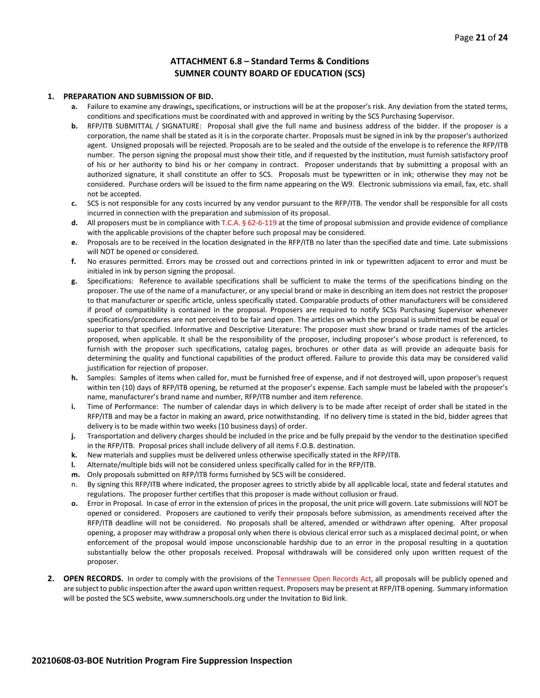#### **ATTACHMENT 6.8 – Standard Terms & Conditions SUMNER COUNTY BOARD OF EDUCATION (SCS)**

#### **1. PREPARATION AND SUBMISSION OF BID.**

- **a.** Failure to examine any drawings**,** specifications, or instructions will be at the proposer's risk. Any deviation from the stated terms, conditions and specifications must be coordinated with and approved in writing by the SCS Purchasing Supervisor.
- **b.** RFP/ITB SUBMITTAL / SIGNATURE: Proposal shall give the full name and business address of the bidder. If the proposer is a corporation, the name shall be stated as it is in the corporate charter. Proposals must be signed in ink by the proposer's authorized agent. Unsigned proposals will be rejected. Proposals are to be sealed and the outside of the envelope is to reference the RFP/ITB number. The person signing the proposal must show their title, and if requested by the institution, must furnish satisfactory proof of his or her authority to bind his or her company in contract. Proposer understands that by submitting a proposal with an authorized signature, it shall constitute an offer to SCS. Proposals must be typewritten or in ink; otherwise they may not be considered. Purchase orders will be issued to the firm name appearing on the W9. Electronic submissions via email, fax, etc. shall not be accepted.
- **c.** SCS is not responsible for any costs incurred by any vendor pursuant to the RFP/ITB. The vendor shall be responsible for all costs incurred in connection with the preparation and submission of its proposal.
- **d.** All proposers must be in compliance with T.C.A. § 62-6-119 at the time of proposal submission and provide evidence of compliance with the applicable provisions of the chapter before such proposal may be considered.
- **e.** Proposals are to be received in the location designated in the RFP/ITB no later than the specified date and time. Late submissions will NOT be opened or considered.
- **f.** No erasures permitted. Errors may be crossed out and corrections printed in ink or typewritten adjacent to error and must be initialed in ink by person signing the proposal.
- **g.** Specifications: Reference to available specifications shall be sufficient to make the terms of the specifications binding on the proposer. The use of the name of a manufacturer, or any special brand or make in describing an item does not restrict the proposer to that manufacturer or specific article, unless specifically stated. Comparable products of other manufacturers will be considered if proof of compatibility is contained in the proposal. Proposers are required to notify SCSs Purchasing Supervisor whenever specifications/procedures are not perceived to be fair and open. The articles on which the proposal is submitted must be equal or superior to that specified. Informative and Descriptive Literature: The proposer must show brand or trade names of the articles proposed, when applicable. It shall be the responsibility of the proposer, including proposer's whose product is referenced, to furnish with the proposer such specifications, catalog pages, brochures or other data as will provide an adequate basis for determining the quality and functional capabilities of the product offered. Failure to provide this data may be considered valid justification for rejection of proposer.
- **h.** Samples: Samples of items when called for, must be furnished free of expense, and if not destroyed will, upon proposer's request within ten (10) days of RFP/ITB opening, be returned at the proposer's expense. Each sample must be labeled with the proposer's name, manufacturer's brand name and number, RFP/ITB number and item reference.
- **i.** Time of Performance: The number of calendar days in which delivery is to be made after receipt of order shall be stated in the RFP/ITB and may be a factor in making an award, price notwithstanding. If no delivery time is stated in the bid, bidder agrees that delivery is to be made within two weeks (10 business days) of order.
- **j.** Transportation and delivery charges should be included in the price and be fully prepaid by the vendor to the destination specified in the RFP/ITB. Proposal prices shall include delivery of all items F.O.B. destination.
- **k.** New materials and supplies must be delivered unless otherwise specifically stated in the RFP/ITB.
- **l.** Alternate/multiple bids will not be considered unless specifically called for in the RFP/ITB.
- **m.** Only proposals submitted on RFP/ITB forms furnished by SCS will be considered.
- n. By signing this RFP/ITB where indicated, the proposer agrees to strictly abide by all applicable local, state and federal statutes and regulations. The proposer further certifies that this proposer is made without collusion or fraud.
- **o.** Error in Proposal. In case of error in the extension of prices in the proposal, the unit price will govern. Late submissions will NOT be opened or considered. Proposers are cautioned to verify their proposals before submission, as amendments received after the RFP/ITB deadline will not be considered. No proposals shall be altered, amended or withdrawn after opening. After proposal opening, a proposer may withdraw a proposal only when there is obvious clerical error such as a misplaced decimal point, or when enforcement of the proposal would impose unconscionable hardship due to an error in the proposal resulting in a quotation substantially below the other proposals received. Proposal withdrawals will be considered only upon written request of the proposer.
- **2. OPEN RECORDS.** In order to comply with the provisions of the Tennessee Open Records Act, all proposals will be publicly opened and are subject to public inspection after the award upon written request. Proposers may be present at RFP/ITB opening. Summary information will be posted the SCS website, www.sumnerschools.org under the Invitation to Bid link.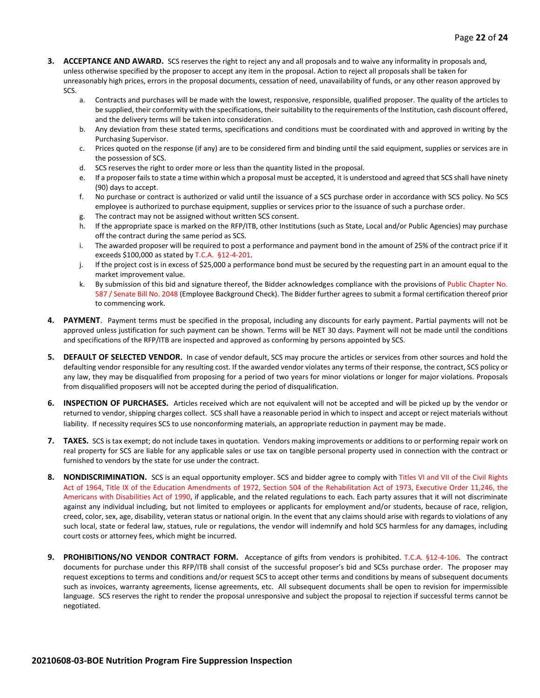- **3. ACCEPTANCE AND AWARD.** SCS reserves the right to reject any and all proposals and to waive any informality in proposals and, unless otherwise specified by the proposer to accept any item in the proposal. Action to reject all proposals shall be taken for unreasonably high prices, errors in the proposal documents, cessation of need, unavailability of funds, or any other reason approved by SCS.
	- a. Contracts and purchases will be made with the lowest, responsive, responsible, qualified proposer. The quality of the articles to be supplied, their conformity with the specifications, their suitability to the requirements of the Institution, cash discount offered, and the delivery terms will be taken into consideration.
	- b. Any deviation from these stated terms, specifications and conditions must be coordinated with and approved in writing by the Purchasing Supervisor.
	- c. Prices quoted on the response (if any) are to be considered firm and binding until the said equipment, supplies or services are in the possession of SCS.
	- d. SCS reserves the right to order more or less than the quantity listed in the proposal.
	- e. If a proposer fails to state a time within which a proposal must be accepted, it is understood and agreed that SCS shall have ninety (90) days to accept.
	- f. No purchase or contract is authorized or valid until the issuance of a SCS purchase order in accordance with SCS policy. No SCS employee is authorized to purchase equipment, supplies or services prior to the issuance of such a purchase order.
	- g. The contract may not be assigned without written SCS consent.
	- h. If the appropriate space is marked on the RFP/ITB, other Institutions (such as State, Local and/or Public Agencies) may purchase off the contract during the same period as SCS.
	- i. The awarded proposer will be required to post a performance and payment bond in the amount of 25% of the contract price if it exceeds \$100,000 as stated by T.C.A. §12-4-201.
	- j. If the project cost is in excess of \$25,000 a performance bond must be secured by the requesting part in an amount equal to the market improvement value.
	- k. By submission of this bid and signature thereof, the Bidder acknowledges compliance with the provisions of Public Chapter No. 587 / Senate Bill No. 2048 (Employee Background Check). The Bidder further agrees to submit a formal certification thereof prior to commencing work.
- **4. PAYMENT**. Payment terms must be specified in the proposal, including any discounts for early payment. Partial payments will not be approved unless justification for such payment can be shown. Terms will be NET 30 days. Payment will not be made until the conditions and specifications of the RFP/ITB are inspected and approved as conforming by persons appointed by SCS.
- **5. DEFAULT OF SELECTED VENDOR.** In case of vendor default, SCS may procure the articles or services from other sources and hold the defaulting vendor responsible for any resulting cost. If the awarded vendor violates any terms of their response, the contract, SCS policy or any law, they may be disqualified from proposing for a period of two years for minor violations or longer for major violations. Proposals from disqualified proposers will not be accepted during the period of disqualification.
- **6. INSPECTION OF PURCHASES.** Articles received which are not equivalent will not be accepted and will be picked up by the vendor or returned to vendor, shipping charges collect. SCS shall have a reasonable period in which to inspect and accept or reject materials without liability. If necessity requires SCS to use nonconforming materials, an appropriate reduction in payment may be made.
- **7. TAXES.** SCS is tax exempt; do not include taxes in quotation. Vendors making improvements or additions to or performing repair work on real property for SCS are liable for any applicable sales or use tax on tangible personal property used in connection with the contract or furnished to vendors by the state for use under the contract.
- **8. NONDISCRIMINATION.** SCS is an equal opportunity employer. SCS and bidder agree to comply with Titles VI and VII of the Civil Rights Act of 1964, Title IX of the Education Amendments of 1972, Section 504 of the Rehabilitation Act of 1973, Executive Order 11,246, the Americans with Disabilities Act of 1990, if applicable, and the related regulations to each. Each party assures that it will not discriminate against any individual including, but not limited to employees or applicants for employment and/or students, because of race, religion, creed, color, sex, age, disability, veteran status or national origin. In the event that any claims should arise with regards to violations of any such local, state or federal law, statues, rule or regulations, the vendor will indemnify and hold SCS harmless for any damages, including court costs or attorney fees, which might be incurred.
- **9. PROHIBITIONS/NO VENDOR CONTRACT FORM.** Acceptance of gifts from vendors is prohibited. T.C.A. §12-4-106. The contract documents for purchase under this RFP/ITB shall consist of the successful proposer's bid and SCSs purchase order. The proposer may request exceptions to terms and conditions and/or request SCS to accept other terms and conditions by means of subsequent documents such as invoices, warranty agreements, license agreements, etc. All subsequent documents shall be open to revision for impermissible language. SCS reserves the right to render the proposal unresponsive and subject the proposal to rejection if successful terms cannot be negotiated.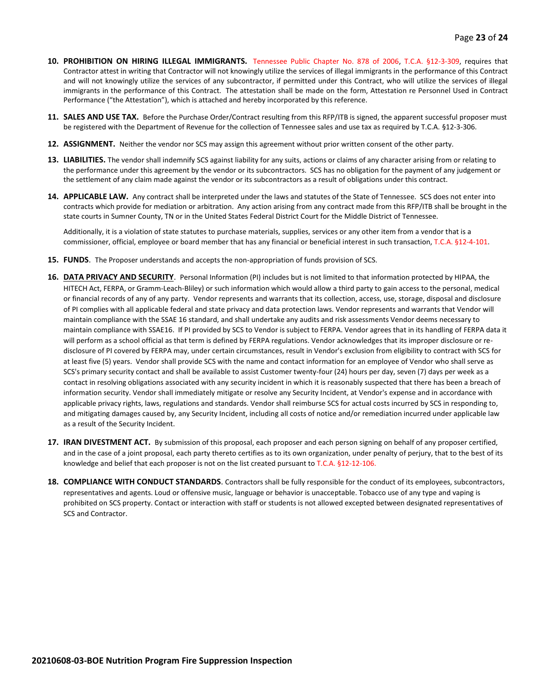- **10. PROHIBITION ON HIRING ILLEGAL IMMIGRANTS.** Tennessee Public Chapter No. 878 of 2006, T.C.A. §12-3-309, requires that Contractor attest in writing that Contractor will not knowingly utilize the services of illegal immigrants in the performance of this Contract and will not knowingly utilize the services of any subcontractor, if permitted under this Contract, who will utilize the services of illegal immigrants in the performance of this Contract. The attestation shall be made on the form, Attestation re Personnel Used in Contract Performance ("the Attestation"), which is attached and hereby incorporated by this reference.
- **11. SALES AND USE TAX.** Before the Purchase Order/Contract resulting from this RFP/ITB is signed, the apparent successful proposer must be registered with the Department of Revenue for the collection of Tennessee sales and use tax as required by T.C.A. §12-3-306.
- **12. ASSIGNMENT.** Neither the vendor nor SCS may assign this agreement without prior written consent of the other party.
- **13. LIABILITIES.** The vendor shall indemnify SCS against liability for any suits, actions or claims of any character arising from or relating to the performance under this agreement by the vendor or its subcontractors. SCS has no obligation for the payment of any judgement or the settlement of any claim made against the vendor or its subcontractors as a result of obligations under this contract.
- **14. APPLICABLE LAW.** Any contract shall be interpreted under the laws and statutes of the State of Tennessee. SCS does not enter into contracts which provide for mediation or arbitration. Any action arising from any contract made from this RFP/ITB shall be brought in the state courts in Sumner County, TN or in the United States Federal District Court for the Middle District of Tennessee.

Additionally, it is a violation of state statutes to purchase materials, supplies, services or any other item from a vendor that is a commissioner, official, employee or board member that has any financial or beneficial interest in such transaction, T.C.A. §12-4-101.

- **15. FUNDS**. The Proposer understands and accepts the non-appropriation of funds provision of SCS.
- **16. DATA PRIVACY AND SECURITY**. Personal Information (PI) includes but is not limited to that information protected by HIPAA, the HITECH Act, FERPA, or Gramm-Leach-Bliley) or such information which would allow a third party to gain access to the personal, medical or financial records of any of any party. Vendor represents and warrants that its collection, access, use, storage, disposal and disclosure of PI complies with all applicable federal and state privacy and data protection laws. Vendor represents and warrants that Vendor will maintain compliance with the SSAE 16 standard, and shall undertake any audits and risk assessments Vendor deems necessary to maintain compliance with SSAE16. If PI provided by SCS to Vendor is subject to FERPA. Vendor agrees that in its handling of FERPA data it will perform as a school official as that term is defined by FERPA regulations. Vendor acknowledges that its improper disclosure or redisclosure of PI covered by FERPA may, under certain circumstances, result in Vendor's exclusion from eligibility to contract with SCS for at least five (5) years. Vendor shall provide SCS with the name and contact information for an employee of Vendor who shall serve as SCS's primary security contact and shall be available to assist Customer twenty-four (24) hours per day, seven (7) days per week as a contact in resolving obligations associated with any security incident in which it is reasonably suspected that there has been a breach of information security. Vendor shall immediately mitigate or resolve any Security Incident, at Vendor's expense and in accordance with applicable privacy rights, laws, regulations and standards. Vendor shall reimburse SCS for actual costs incurred by SCS in responding to, and mitigating damages caused by, any Security Incident, including all costs of notice and/or remediation incurred under applicable law as a result of the Security Incident.
- **17. IRAN DIVESTMENT ACT.** By submission of this proposal, each proposer and each person signing on behalf of any proposer certified, and in the case of a joint proposal, each party thereto certifies as to its own organization, under penalty of perjury, that to the best of its knowledge and belief that each proposer is not on the list created pursuant to T.C.A. §12-12-106.
- **18. COMPLIANCE WITH CONDUCT STANDARDS**. Contractors shall be fully responsible for the conduct of its employees, subcontractors, representatives and agents. Loud or offensive music, language or behavior is unacceptable. Tobacco use of any type and vaping is prohibited on SCS property. Contact or interaction with staff or students is not allowed excepted between designated representatives of SCS and Contractor.